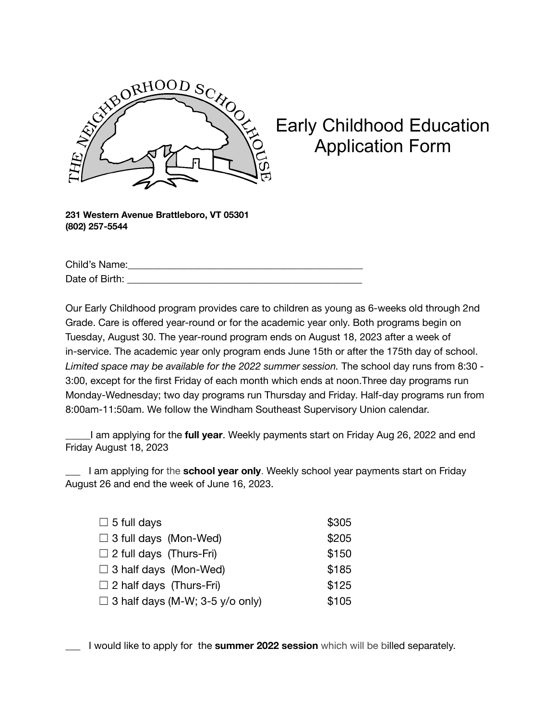

## Early Childhood Education Application Form

**231 Western Avenue Brattleboro, VT 05301 (802) 257-5544**

Child's Name: Date of Birth: \_\_\_\_\_\_\_\_\_\_\_\_\_\_\_\_\_\_\_\_\_\_\_\_\_\_\_\_\_\_\_\_\_\_\_\_\_\_\_\_\_\_\_\_\_\_\_

Our Early Childhood program provides care to children as young as 6-weeks old through 2nd Grade. Care is offered year-round or for the academic year only. Both programs begin on Tuesday, August 30. The year-round program ends on August 18, 2023 after a week of in-service. The academic year only program ends June 15th or after the 175th day of school. *Limited space may be available for the 2022 summer session.* The school day runs from 8:30 - 3:00, except for the first Friday of each month which ends at noon.Three day programs run Monday-Wednesday; two day programs run Thursday and Friday. Half-day programs run from 8:00am-11:50am. We follow the Windham Southeast Supervisory Union calendar.

\_\_\_\_\_I am applying for the **full year**. Weekly payments start on Friday Aug 26, 2022 and end Friday August 18, 2023

\_\_\_ I am applying for the **school year only**. Weekly school year payments start on Friday August 26 and end the week of June 16, 2023.

| $\Box$ 5 full days                     | \$305 |
|----------------------------------------|-------|
| $\Box$ 3 full days (Mon-Wed)           | \$205 |
| $\Box$ 2 full days (Thurs-Fri)         | \$150 |
| $\Box$ 3 half days (Mon-Wed)           | \$185 |
| $\Box$ 2 half days (Thurs-Fri)         | \$125 |
| $\Box$ 3 half days (M-W; 3-5 y/o only) | \$105 |

\_\_\_ I would like to apply for the **summer 2022 session** which will be billed separately.